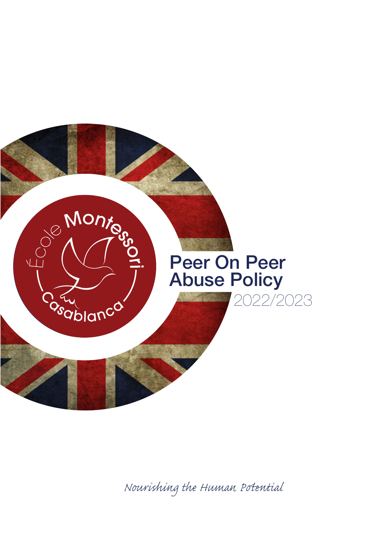

*Nourishing the Human Pential*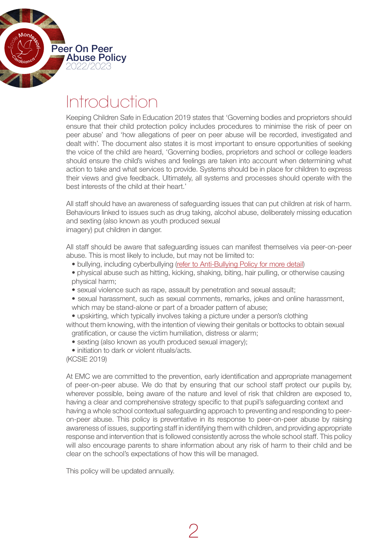

# Introduction

Keeping Children Safe in Education 2019 states that 'Governing bodies and proprietors should ensure that their child protection policy includes procedures to minimise the risk of peer on peer abuse' and 'how allegations of peer on peer abuse will be recorded, investigated and dealt with'. The document also states it is most important to ensure opportunities of seeking the voice of the child are heard, 'Governing bodies, proprietors and school or college leaders should ensure the child's wishes and feelings are taken into account when determining what action to take and what services to provide. Systems should be in place for children to express their views and give feedback. Ultimately, all systems and processes should operate with the best interests of the child at their heart.'

All staff should have an awareness of safeguarding issues that can put children at risk of harm. Behaviours linked to issues such as drug taking, alcohol abuse, deliberately missing education and sexting (also known as youth produced sexual imagery) put children in danger.

All staff should be aware that safeguarding issues can manifest themselves via peer-on-peer abuse. This is most likely to include, but may not be limited to:

- bullying, including cyberbullying ([refer to Anti-Bullying Policy for more detail\)](https://drive.google.com/file/d/1Cs6xv6kcRygNmW8ph77wR4yx2MKPsgh3/view?usp=sharing)
- physical abuse such as hitting, kicking, shaking, biting, hair pulling, or otherwise causing physical harm;
- sexual violence such as rape, assault by penetration and sexual assault;
- sexual harassment, such as sexual comments, remarks, jokes and online harassment, which may be stand-alone or part of a broader pattern of abuse;
- upskirting, which typically involves taking a picture under a person's clothing

without them knowing, with the intention of viewing their genitals or bottocks to obtain sexual gratification, or cause the victim humiliation, distress or alarm;

- sexting (also known as youth produced sexual imagery);
- initiation to dark or violent rituals/acts.

(KCSIE 2019)

At EMC we are committed to the prevention, early identification and appropriate management of peer-on-peer abuse. We do that by ensuring that our school staff protect our pupils by, wherever possible, being aware of the nature and level of risk that children are exposed to, having a clear and comprehensive strategy specific to that pupil's safeguarding context and having a whole school contextual safeguarding approach to preventing and responding to peeron-peer abuse. This policy is preventative in its response to peer-on-peer abuse by raising awareness of issues, supporting staff in identifying them with children, and providing appropriate response and intervention that is followed consistently across the whole school staff. This policy will also encourage parents to share information about any risk of harm to their child and be clear on the school's expectations of how this will be managed.

This policy will be updated annually.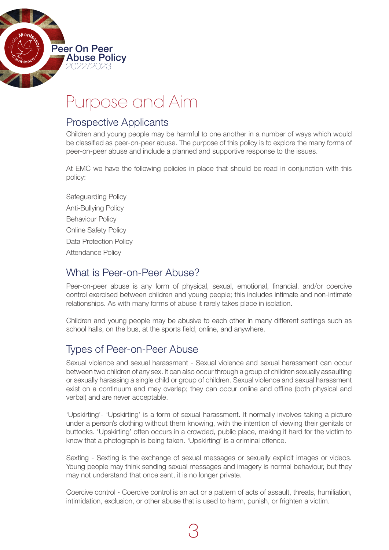

# Purpose and Aim

# Prospective Applicants

Children and young people may be harmful to one another in a number of ways which would be classified as peer-on-peer abuse. The purpose of this policy is to explore the many forms of peer-on-peer abuse and include a planned and supportive response to the issues.

At EMC we have the following policies in place that should be read in conjunction with this policy:

Safeguarding Policy Anti-Bullying Policy Behaviour Policy Online Safety Policy Data Protection Policy Attendance Policy

# What is Peer-on-Peer Abuse?

Peer-on-peer abuse is any form of physical, sexual, emotional, financial, and/or coercive control exercised between children and young people; this includes intimate and non-intimate relationships. As with many forms of abuse it rarely takes place in isolation.

Children and young people may be abusive to each other in many different settings such as school halls, on the bus, at the sports field, online, and anywhere.

# Types of Peer-on-Peer Abuse

Sexual violence and sexual harassment - Sexual violence and sexual harassment can occur between two children of any sex. It can also occur through a group of children sexually assaulting or sexually harassing a single child or group of children. Sexual violence and sexual harassment exist on a continuum and may overlap; they can occur online and offline (both physical and verbal) and are never acceptable.

'Upskirting'- 'Upskirting' is a form of sexual harassment. It normally involves taking a picture under a person's clothing without them knowing, with the intention of viewing their genitals or buttocks. 'Upskirting' often occurs in a crowded, public place, making it hard for the victim to know that a photograph is being taken. 'Upskirting' is a criminal offence.

Sexting - Sexting is the exchange of sexual messages or sexually explicit images or videos. Young people may think sending sexual messages and imagery is normal behaviour, but they may not understand that once sent, it is no longer private.

Coercive control - Coercive control is an act or a pattern of acts of assault, threats, humiliation, intimidation, exclusion, or other abuse that is used to harm, punish, or frighten a victim.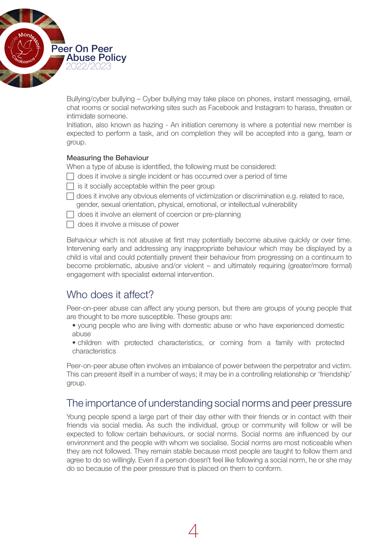

Bullying/cyber bullying – Cyber bullying may take place on phones, instant messaging, email, chat rooms or social networking sites such as Facebook and Instagram to harass, threaten or intimidate someone.

Initiation, also known as hazing - An initiation ceremony is where a potential new member is expected to perform a task, and on completion they will be accepted into a gang, team or group.

#### Measuring the Behaviour

When a type of abuse is identified, the following must be considered:

- $\Box$  does it involve a single incident or has occurred over a period of time
- $\Box$  is it socially acceptable within the peer group
- $\Box$  does it involve any obvious elements of victimization or discrimination e.g. related to race, gender, sexual orientation, physical, emotional, or intellectual vulnerability
- $\Box$  does it involve an element of coercion or pre-planning
- $\Box$  does it involve a misuse of power

Behaviour which is not abusive at first may potentially become abusive quickly or over time. Intervening early and addressing any inappropriate behaviour which may be displayed by a child is vital and could potentially prevent their behaviour from progressing on a continuum to become problematic, abusive and/or violent – and ultimately requiring (greater/more formal) engagement with specialist external intervention.

# Who does it affect?

Peer-on-peer abuse can affect any young person, but there are groups of young people that are thought to be more susceptible. These groups are:

- • young people who are living with domestic abuse or who have experienced domestic abuse
- children with protected characteristics, or coming from a family with protected characteristics

Peer-on-peer abuse often involves an imbalance of power between the perpetrator and victim. This can present itself in a number of ways; it may be in a controlling relationship or 'friendship' group.

### The importance of understanding social norms and peer pressure

Young people spend a large part of their day either with their friends or in contact with their friends via social media. As such the individual, group or community will follow or will be expected to follow certain behaviours, or social norms. Social norms are influenced by our environment and the people with whom we socialise. Social norms are most noticeable when they are not followed. They remain stable because most people are taught to follow them and agree to do so willingly. Even if a person doesn't feel like following a social norm, he or she may do so because of the peer pressure that is placed on them to conform.

4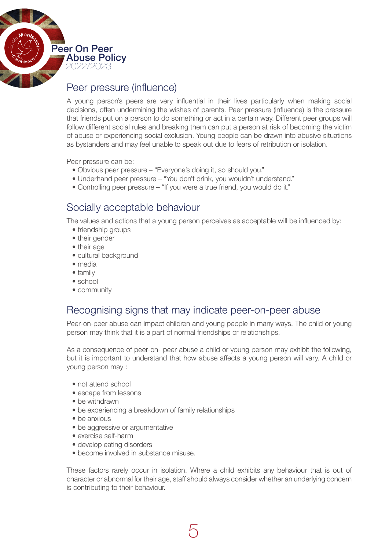

# Peer pressure (influence)

A young person's peers are very influential in their lives particularly when making social decisions, often undermining the wishes of parents. Peer pressure (influence) is the pressure that friends put on a person to do something or act in a certain way. Different peer groups will follow different social rules and breaking them can put a person at risk of becoming the victim of abuse or experiencing social exclusion. Young people can be drawn into abusive situations as bystanders and may feel unable to speak out due to fears of retribution or isolation.

Peer pressure can be:

- Obvious peer pressure "Everyone's doing it, so should you."
- Underhand peer pressure "You don't drink, you wouldn't understand."
- Controlling peer pressure "If you were a true friend, you would do it."

### Socially acceptable behaviour

The values and actions that a young person perceives as acceptable will be influenced by:

- friendship groups
- their gender
- their age
- cultural background
- media
- family
- school
- community

### Recognising signs that may indicate peer-on-peer abuse

Peer-on-peer abuse can impact children and young people in many ways. The child or young person may think that it is a part of normal friendships or relationships.

As a consequence of peer-on- peer abuse a child or young person may exhibit the following, but it is important to understand that how abuse affects a young person will vary. A child or young person may :

- not attend school
- escape from lessons
- be withdrawn
- be experiencing a breakdown of family relationships
- be anxious
- be aggressive or argumentative
- exercise self-harm
- develop eating disorders
- become involved in substance misuse.

These factors rarely occur in isolation. Where a child exhibits any behaviour that is out of character or abnormal for their age, staff should always consider whether an underlying concern is contributing to their behaviour.

5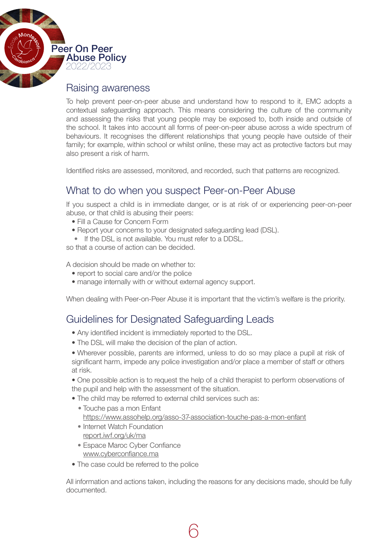

#### Raising awareness

To help prevent peer-on-peer abuse and understand how to respond to it, EMC adopts a contextual safeguarding approach. This means considering the culture of the community and assessing the risks that young people may be exposed to, both inside and outside of the school. It takes into account all forms of peer-on-peer abuse across a wide spectrum of behaviours. It recognises the different relationships that young people have outside of their family; for example, within school or whilst online, these may act as protective factors but may also present a risk of harm.

Identified risks are assessed, monitored, and recorded, such that patterns are recognized.

### What to do when you suspect Peer-on-Peer Abuse

If you suspect a child is in immediate danger, or is at risk of or experiencing peer-on-peer abuse, or that child is abusing their peers:

- Fill a Cause for Concern Form
- Report your concerns to your designated safeguarding lead (DSL).
- If the DSL is not available. You must refer to a DDSL.

so that a course of action can be decided.

A decision should be made on whether to:

- report to social care and/or the police
- manage internally with or without external agency support.

When dealing with Peer-on-Peer Abuse it is important that the victim's welfare is the priority.

### Guidelines for Designated Safeguarding Leads

- Any identified incident is immediately reported to the DSL.
- The DSL will make the decision of the plan of action.

• Wherever possible, parents are informed, unless to do so may place a pupil at risk of significant harm, impede any police investigation and/or place a member of staff or others at risk.

• One possible action is to request the help of a child therapist to perform observations of the pupil and help with the assessment of the situation.

• The child may be referred to external child services such as:

• Touche pas a mon Enfant <https://www.assohelp.org/asso-37-association-touche-pas-a-mon-enfant>

6

- Internet Watch Foundation [report.iwf.org/uk/ma](https://www.iwf.org.uk/)
- Espace Maroc Cyber Confiance [www.cyberconfiance.ma](https://cyberconfiance.ma/fr/)
- The case could be referred to the police

All information and actions taken, including the reasons for any decisions made, should be fully documented.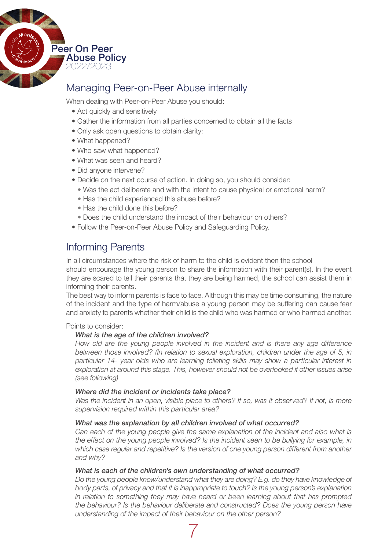

# Managing Peer-on-Peer Abuse internally

When dealing with Peer-on-Peer Abuse you should:

- Act quickly and sensitively
- Gather the information from all parties concerned to obtain all the facts
- Only ask open questions to obtain clarity:
- What happened?
- Who saw what happened?
- What was seen and heard?
- Did anvone intervene?
- Decide on the next course of action. In doing so, you should consider:
	- Was the act deliberate and with the intent to cause physical or emotional harm?
	- Has the child experienced this abuse before?
	- Has the child done this before?
- Does the child understand the impact of their behaviour on others?
- Follow the Peer-on-Peer Abuse Policy and Safeguarding Policy.

## Informing Parents

In all circumstances where the risk of harm to the child is evident then the school should encourage the young person to share the information with their parent(s). In the event they are scared to tell their parents that they are being harmed, the school can assist them in informing their parents.

The best way to inform parents is face to face. Although this may be time consuming, the nature of the incident and the type of harm/abuse a young person may be suffering can cause fear and anxiety to parents whether their child is the child who was harmed or who harmed another.

Points to consider:

#### *What is the age of the children involved?*

*How old are the young people involved in the incident and is there any age difference between those involved? (In relation to sexual exploration, children under the age of 5, in particular 14- year olds who are learning toileting skills may show a particular interest in exploration at around this stage. This, however should not be overlooked if other issues arise (see following)*

#### *Where did the incident or incidents take place?*

*Was the incident in an open, visible place to others? If so, was it observed? If not, is more supervision required within this particular area?*

#### *What was the explanation by all children involved of what occurred?*

*Can each of the young people give the same explanation of the incident and also what is the effect on the young people involved? Is the incident seen to be bullying for example, in which case regular and repetitive? Is the version of one young person different from another and why?*

#### *What is each of the children's own understanding of what occurred?*

*Do the young people know/understand what they are doing? E.g. do they have knowledge of body parts, of privacy and that it is inappropriate to touch? Is the young person's explanation in relation to something they may have heard or been learning about that has prompted the behaviour? Is the behaviour deliberate and constructed? Does the young person have understanding of the impact of their behaviour on the other person?*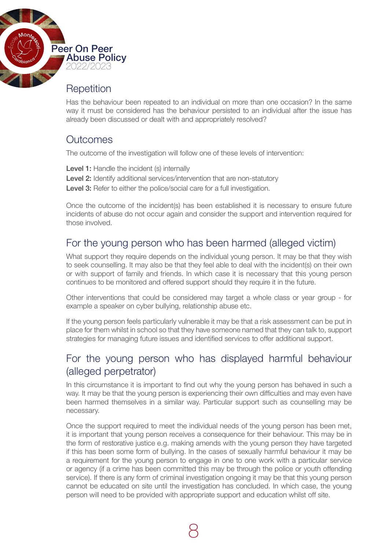

# **Repetition**

Has the behaviour been repeated to an individual on more than one occasion? In the same way it must be considered has the behaviour persisted to an individual after the issue has already been discussed or dealt with and appropriately resolved?

# **Outcomes**

The outcome of the investigation will follow one of these levels of intervention:

Level 1: Handle the incident (s) internally Level 2: Identify additional services/intervention that are non-statutory Level 3: Refer to either the police/social care for a full investigation.

Once the outcome of the incident(s) has been established it is necessary to ensure future incidents of abuse do not occur again and consider the support and intervention required for those involved.

# For the young person who has been harmed (alleged victim)

What support they require depends on the individual young person. It may be that they wish to seek counselling. It may also be that they feel able to deal with the incident(s) on their own or with support of family and friends. In which case it is necessary that this young person continues to be monitored and offered support should they require it in the future.

Other interventions that could be considered may target a whole class or year group - for example a speaker on cyber bullying, relationship abuse etc.

If the young person feels particularly vulnerable it may be that a risk assessment can be put in place for them whilst in school so that they have someone named that they can talk to, support strategies for managing future issues and identified services to offer additional support.

# For the young person who has displayed harmful behaviour (alleged perpetrator)

In this circumstance it is important to find out why the young person has behaved in such a way. It may be that the young person is experiencing their own difficulties and may even have been harmed themselves in a similar way. Particular support such as counselling may be necessary.

Once the support required to meet the individual needs of the young person has been met, it is important that young person receives a consequence for their behaviour. This may be in the form of restorative justice e.g. making amends with the young person they have targeted if this has been some form of bullying. In the cases of sexually harmful behaviour it may be a requirement for the young person to engage in one to one work with a particular service or agency (if a crime has been committed this may be through the police or youth offending service). If there is any form of criminal investigation ongoing it may be that this young person cannot be educated on site until the investigation has concluded. In which case, the young person will need to be provided with appropriate support and education whilst off site.